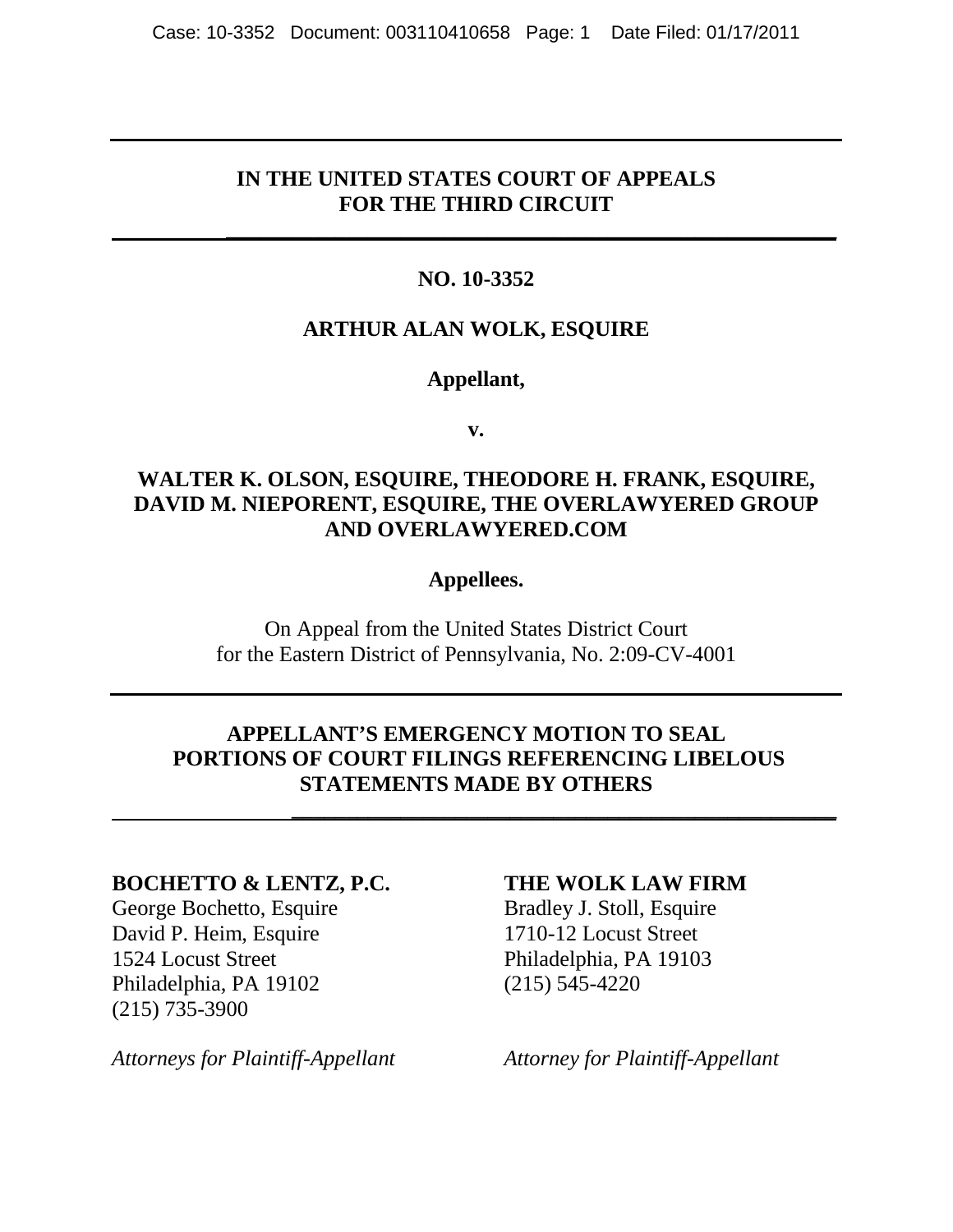#### **IN THE UNITED STATES COURT OF APPEALS FOR THE THIRD CIRCUIT**

 **\_\_\_\_\_\_\_\_\_\_\_\_\_\_\_\_\_\_\_\_\_\_\_\_\_\_\_\_\_\_\_\_\_\_\_\_\_\_\_\_\_\_\_\_\_\_\_\_\_\_\_\_\_\_\_\_** 

### **NO. 10-3352**

#### **ARTHUR ALAN WOLK, ESQUIRE**

#### **Appellant,**

**v.**

#### **WALTER K. OLSON, ESQUIRE, THEODORE H. FRANK, ESQUIRE, DAVID M. NIEPORENT, ESQUIRE, THE OVERLAWYERED GROUP AND OVERLAWYERED.COM**

#### **Appellees.**

On Appeal from the United States District Court for the Eastern District of Pennsylvania, No. 2:09-CV-4001

### **APPELLANT'S EMERGENCY MOTION TO SEAL PORTIONS OF COURT FILINGS REFERENCING LIBELOUS STATEMENTS MADE BY OTHERS**

 **\_\_\_\_\_\_\_\_\_\_\_\_\_\_\_\_\_\_\_\_\_\_\_\_\_\_\_\_\_\_\_\_\_\_\_\_\_\_\_\_\_\_\_\_\_\_\_\_\_\_** 

#### **BOCHETTO & LENTZ, P.C. THE WOLK LAW FIRM**

David P. Heim, Esquire 1710-12 Locust Street 1524 Locust Street Philadelphia, PA 19103 Philadelphia, PA 19102 (215) 545-4220 (215) 735-3900

George Bochetto, Esquire Bradley J. Stoll, Esquire

*Attorneys for Plaintiff-Appellant Attorney for Plaintiff-Appellant*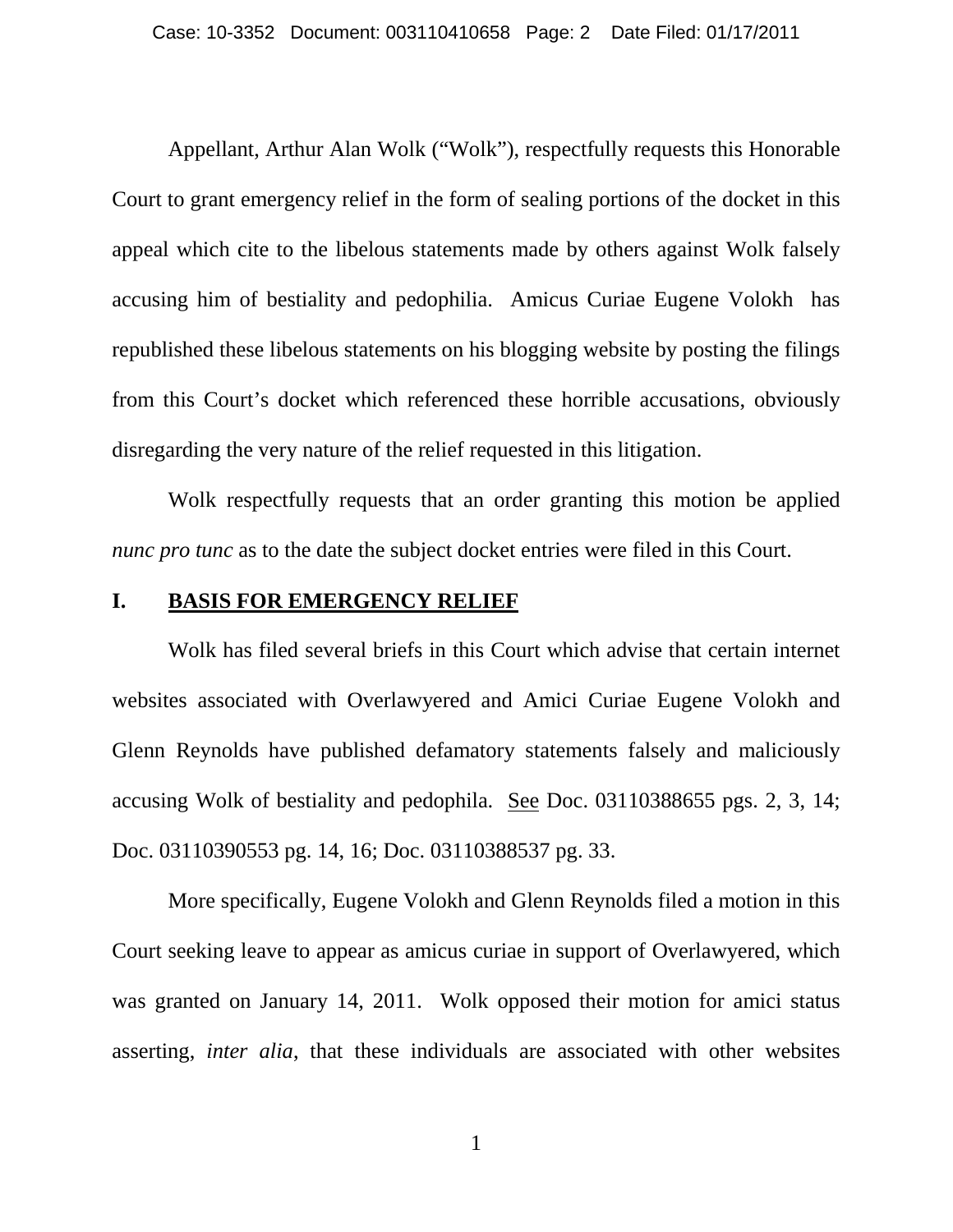Appellant, Arthur Alan Wolk ("Wolk"), respectfully requests this Honorable Court to grant emergency relief in the form of sealing portions of the docket in this appeal which cite to the libelous statements made by others against Wolk falsely accusing him of bestiality and pedophilia. Amicus Curiae Eugene Volokh has republished these libelous statements on his blogging website by posting the filings from this Court's docket which referenced these horrible accusations, obviously disregarding the very nature of the relief requested in this litigation.

Wolk respectfully requests that an order granting this motion be applied *nunc pro tunc* as to the date the subject docket entries were filed in this Court.

#### **I. BASIS FOR EMERGENCY RELIEF**

Wolk has filed several briefs in this Court which advise that certain internet websites associated with Overlawyered and Amici Curiae Eugene Volokh and Glenn Reynolds have published defamatory statements falsely and maliciously accusing Wolk of bestiality and pedophila. See Doc. 03110388655 pgs. 2, 3, 14; Doc. 03110390553 pg. 14, 16; Doc. 03110388537 pg. 33.

More specifically, Eugene Volokh and Glenn Reynolds filed a motion in this Court seeking leave to appear as amicus curiae in support of Overlawyered, which was granted on January 14, 2011. Wolk opposed their motion for amici status asserting, *inter alia*, that these individuals are associated with other websites

1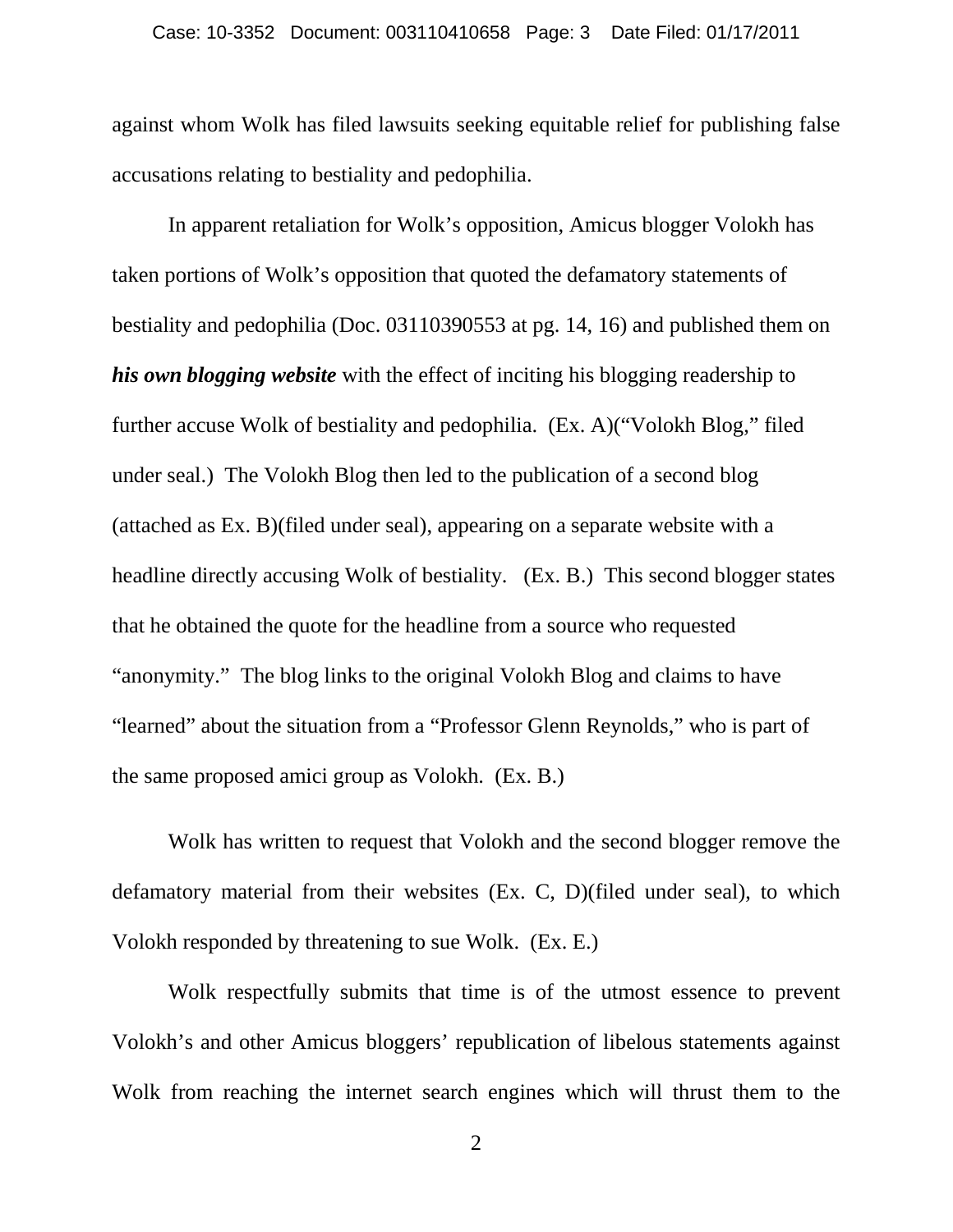against whom Wolk has filed lawsuits seeking equitable relief for publishing false accusations relating to bestiality and pedophilia.

In apparent retaliation for Wolk's opposition, Amicus blogger Volokh has taken portions of Wolk's opposition that quoted the defamatory statements of bestiality and pedophilia (Doc. 03110390553 at pg. 14, 16) and published them on *his own blogging website* with the effect of inciting his blogging readership to further accuse Wolk of bestiality and pedophilia. (Ex. A)("Volokh Blog," filed under seal.) The Volokh Blog then led to the publication of a second blog (attached as Ex. B)(filed under seal), appearing on a separate website with a headline directly accusing Wolk of bestiality. (Ex. B.) This second blogger states that he obtained the quote for the headline from a source who requested "anonymity." The blog links to the original Volokh Blog and claims to have "learned" about the situation from a "Professor Glenn Reynolds," who is part of the same proposed amici group as Volokh. (Ex. B.)

Wolk has written to request that Volokh and the second blogger remove the defamatory material from their websites (Ex. C, D)(filed under seal), to which Volokh responded by threatening to sue Wolk. (Ex. E.)

Wolk respectfully submits that time is of the utmost essence to prevent Volokh's and other Amicus bloggers' republication of libelous statements against Wolk from reaching the internet search engines which will thrust them to the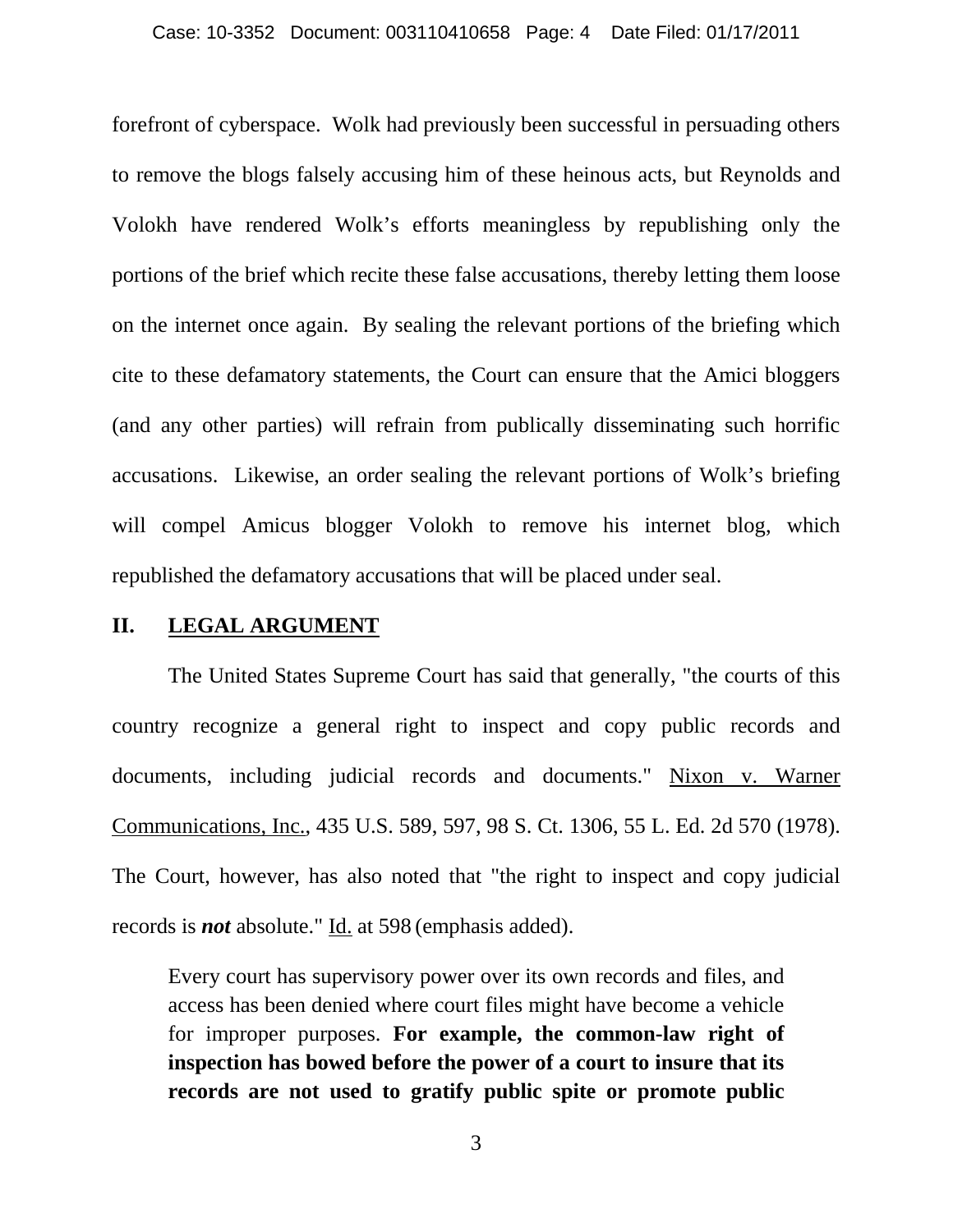forefront of cyberspace. Wolk had previously been successful in persuading others to remove the blogs falsely accusing him of these heinous acts, but Reynolds and Volokh have rendered Wolk's efforts meaningless by republishing only the portions of the brief which recite these false accusations, thereby letting them loose on the internet once again. By sealing the relevant portions of the briefing which cite to these defamatory statements, the Court can ensure that the Amici bloggers (and any other parties) will refrain from publically disseminating such horrific accusations. Likewise, an order sealing the relevant portions of Wolk's briefing will compel Amicus blogger Volokh to remove his internet blog, which republished the defamatory accusations that will be placed under seal.

#### **II. LEGAL ARGUMENT**

The United States Supreme Court has said that generally, "the courts of this country recognize a general right to inspect and copy public records and documents, including judicial records and documents." [Nixon v. Warner](https://www.lexis.com/research/buttonTFLink?_m=c0a5e6d55ea4c3b840bf315ddb5bc093&_xfercite=%3ccite%20cc%3d%22USA%22%3e%3c%21%5bCDATA%5b461%20F.3d%201048%5d%5d%3e%3c%2fcite%3e&_butType=3&_butStat=2&_butNum=56&_butInline=1&_butinfo=%3ccite%20cc%3d%22USA%22%3e%3c%21%5bCDATA%5b435%20U.S.%20589%2c%20597%5d%5d%3e%3c%2fcite%3e&_fmtstr=FULL&docnum=2&_startdoc=1&wchp=dGLbVlz-zSkAB&_md5=164587489fc7c4e6c6567c43f9f5f92b)  [Communications, Inc., 435 U.S. 589, 597, 98 S. Ct. 1306, 55 L. Ed. 2d 570 \(1978\).](https://www.lexis.com/research/buttonTFLink?_m=c0a5e6d55ea4c3b840bf315ddb5bc093&_xfercite=%3ccite%20cc%3d%22USA%22%3e%3c%21%5bCDATA%5b461%20F.3d%201048%5d%5d%3e%3c%2fcite%3e&_butType=3&_butStat=2&_butNum=56&_butInline=1&_butinfo=%3ccite%20cc%3d%22USA%22%3e%3c%21%5bCDATA%5b435%20U.S.%20589%2c%20597%5d%5d%3e%3c%2fcite%3e&_fmtstr=FULL&docnum=2&_startdoc=1&wchp=dGLbVlz-zSkAB&_md5=164587489fc7c4e6c6567c43f9f5f92b) The Court, however, has also noted that "the right to inspect and copy judicial records is *not* absolute." Id. [at 598](https://www.lexis.com/research/buttonTFLink?_m=c0a5e6d55ea4c3b840bf315ddb5bc093&_xfercite=%3ccite%20cc%3d%22USA%22%3e%3c%21%5bCDATA%5b461%20F.3d%201048%5d%5d%3e%3c%2fcite%3e&_butType=3&_butStat=2&_butNum=57&_butInline=1&_butinfo=%3ccite%20cc%3d%22USA%22%3e%3c%21%5bCDATA%5b435%20U.S.%20589%2c%20598%5d%5d%3e%3c%2fcite%3e&_fmtstr=FULL&docnum=2&_startdoc=1&wchp=dGLbVlz-zSkAB&_md5=27f57534d899cbe5195b12b2e19b395a) (emphasis added).

Every court has supervisory power over its own records and files, and access has been denied where court files might have become a vehicle for improper purposes. **For example, the common-law right of inspection has bowed before the power of a court to insure that its records are not used to gratify public spite or promote public**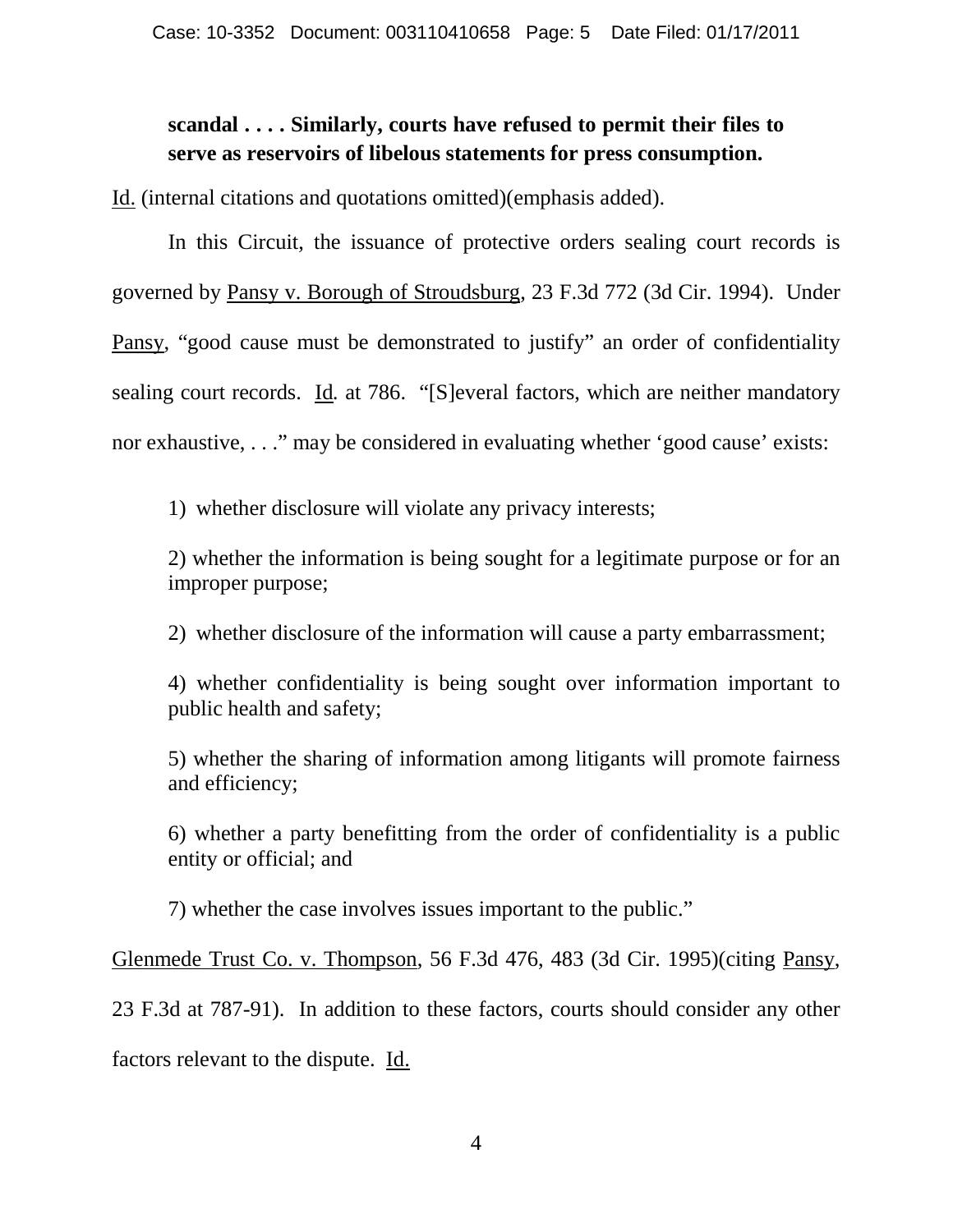### **scandal . . . . Similarly, courts have refused to permit their files to serve as reservoirs of libelous statements for press consumption.**

Id. (internal citations and quotations omitted)(emphasis added).

In this Circuit, the issuance of protective orders sealing court records is governed by Pansy v. Borough of Stroudsburg, 23 F.3d 772 (3d Cir. 1994). Under Pansy, "good cause must be demonstrated to justify" an order of confidentiality sealing court records. Id*.* at 786. "[S]everal factors, which are neither mandatory nor exhaustive, . . ." may be considered in evaluating whether 'good cause' exists:

1) whether disclosure will violate any privacy interests;

2) whether the information is being sought for a legitimate purpose or for an improper purpose;

2) whether disclosure of the information will cause a party embarrassment;

4) whether confidentiality is being sought over information important to public health and safety;

5) whether the sharing of information among litigants will promote fairness and efficiency;

6) whether a party benefitting from the order of confidentiality is a public entity or official; and

7) whether the case involves issues important to the public."

Glenmede Trust Co. v. Thompson, 56 F.3d 476, 483 (3d Cir. 1995)(citing Pansy,

23 F.3d at 787-91). In addition to these factors, courts should consider any other

factors relevant to the dispute. Id.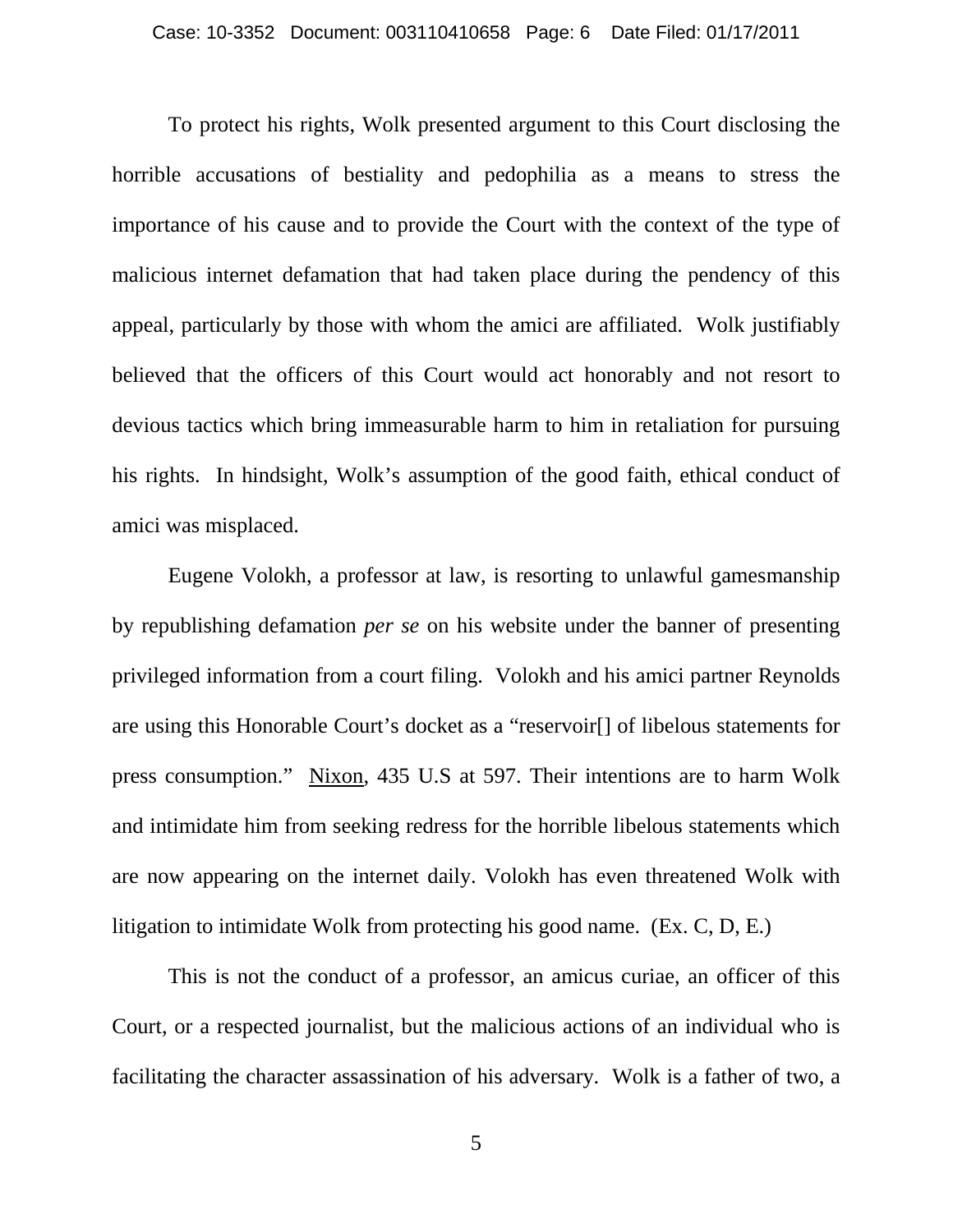To protect his rights, Wolk presented argument to this Court disclosing the horrible accusations of bestiality and pedophilia as a means to stress the importance of his cause and to provide the Court with the context of the type of malicious internet defamation that had taken place during the pendency of this appeal, particularly by those with whom the amici are affiliated. Wolk justifiably believed that the officers of this Court would act honorably and not resort to devious tactics which bring immeasurable harm to him in retaliation for pursuing his rights. In hindsight, Wolk's assumption of the good faith, ethical conduct of amici was misplaced.

Eugene Volokh, a professor at law, is resorting to unlawful gamesmanship by republishing defamation *per se* on his website under the banner of presenting privileged information from a court filing. Volokh and his amici partner Reynolds are using this Honorable Court's docket as a "reservoir[] of libelous statements for press consumption." Nixon, 435 U.S at 597. Their intentions are to harm Wolk and intimidate him from seeking redress for the horrible libelous statements which are now appearing on the internet daily. Volokh has even threatened Wolk with litigation to intimidate Wolk from protecting his good name. (Ex. C, D, E.)

This is not the conduct of a professor, an amicus curiae, an officer of this Court, or a respected journalist, but the malicious actions of an individual who is facilitating the character assassination of his adversary. Wolk is a father of two, a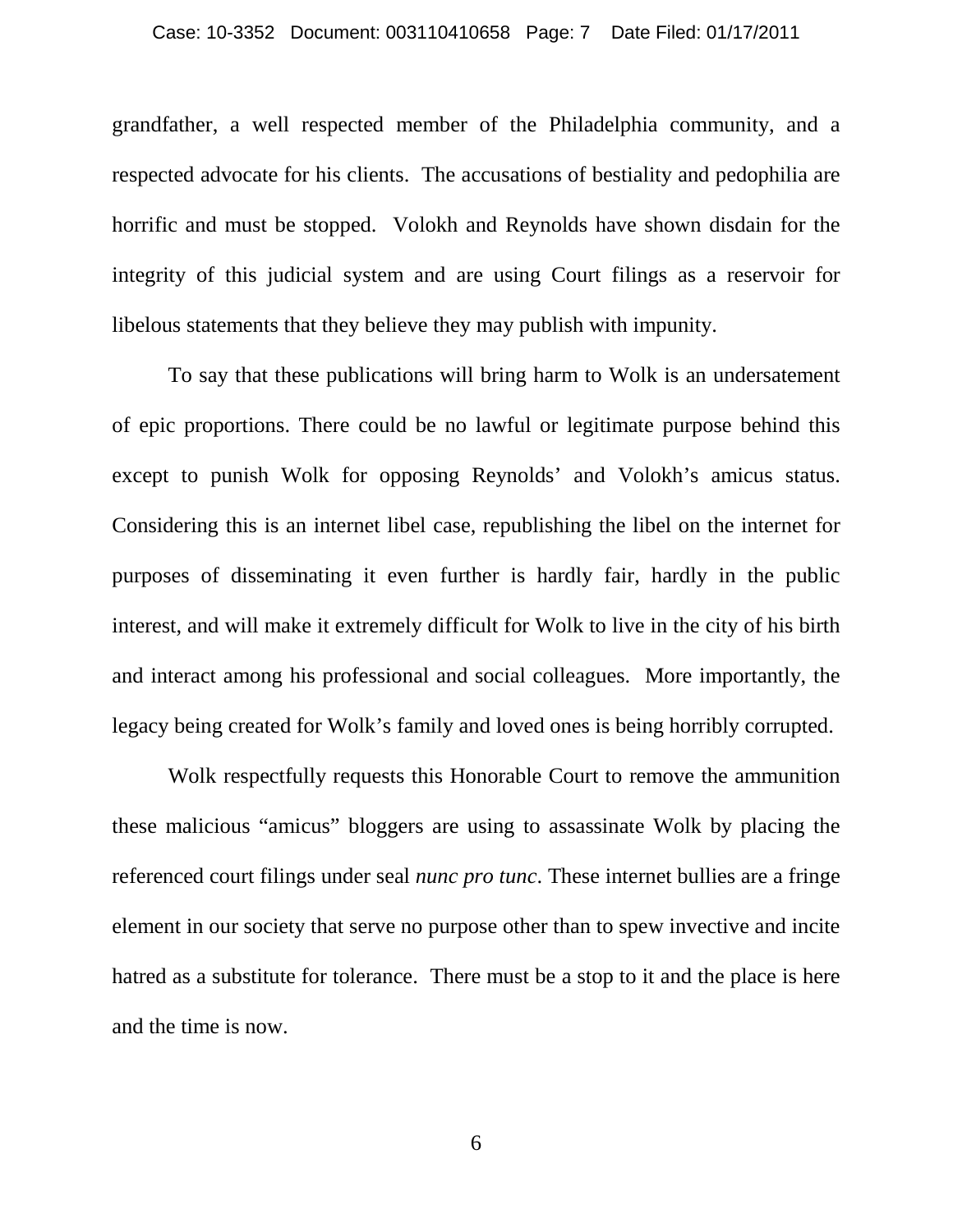grandfather, a well respected member of the Philadelphia community, and a respected advocate for his clients. The accusations of bestiality and pedophilia are horrific and must be stopped. Volokh and Reynolds have shown disdain for the integrity of this judicial system and are using Court filings as a reservoir for libelous statements that they believe they may publish with impunity.

To say that these publications will bring harm to Wolk is an undersatement of epic proportions. There could be no lawful or legitimate purpose behind this except to punish Wolk for opposing Reynolds' and Volokh's amicus status. Considering this is an internet libel case, republishing the libel on the internet for purposes of disseminating it even further is hardly fair, hardly in the public interest, and will make it extremely difficult for Wolk to live in the city of his birth and interact among his professional and social colleagues. More importantly, the legacy being created for Wolk's family and loved ones is being horribly corrupted.

Wolk respectfully requests this Honorable Court to remove the ammunition these malicious "amicus" bloggers are using to assassinate Wolk by placing the referenced court filings under seal *nunc pro tunc*. These internet bullies are a fringe element in our society that serve no purpose other than to spew invective and incite hatred as a substitute for tolerance. There must be a stop to it and the place is here and the time is now.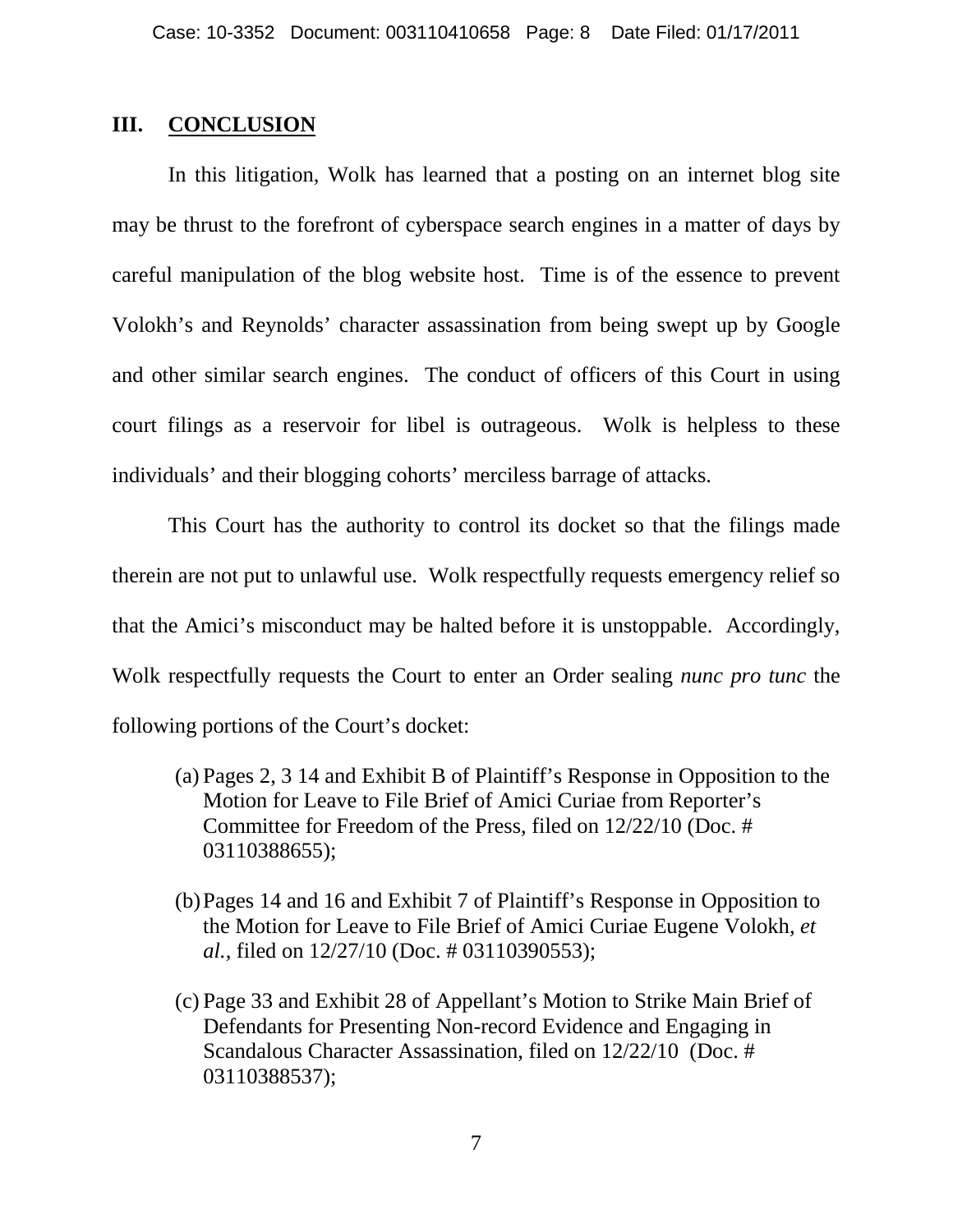#### **III. CONCLUSION**

In this litigation, Wolk has learned that a posting on an internet blog site may be thrust to the forefront of cyberspace search engines in a matter of days by careful manipulation of the blog website host. Time is of the essence to prevent Volokh's and Reynolds' character assassination from being swept up by Google and other similar search engines. The conduct of officers of this Court in using court filings as a reservoir for libel is outrageous. Wolk is helpless to these individuals' and their blogging cohorts' merciless barrage of attacks.

This Court has the authority to control its docket so that the filings made therein are not put to unlawful use. Wolk respectfully requests emergency relief so that the Amici's misconduct may be halted before it is unstoppable. Accordingly, Wolk respectfully requests the Court to enter an Order sealing *nunc pro tunc* the following portions of the Court's docket:

- (a) Pages 2, 3 14 and Exhibit B of Plaintiff's Response in Opposition to the Motion for Leave to File Brief of Amici Curiae from Reporter's Committee for Freedom of the Press, filed on 12/22/10 (Doc. # 03110388655);
- (b)Pages 14 and 16 and Exhibit 7 of Plaintiff's Response in Opposition to the Motion for Leave to File Brief of Amici Curiae Eugene Volokh*, et al.,* filed on 12/27/10 (Doc. # 03110390553);
- (c) Page 33 and Exhibit 28 of Appellant's Motion to Strike Main Brief of Defendants for Presenting Non-record Evidence and Engaging in Scandalous Character Assassination, filed on 12/22/10 (Doc. # 03110388537);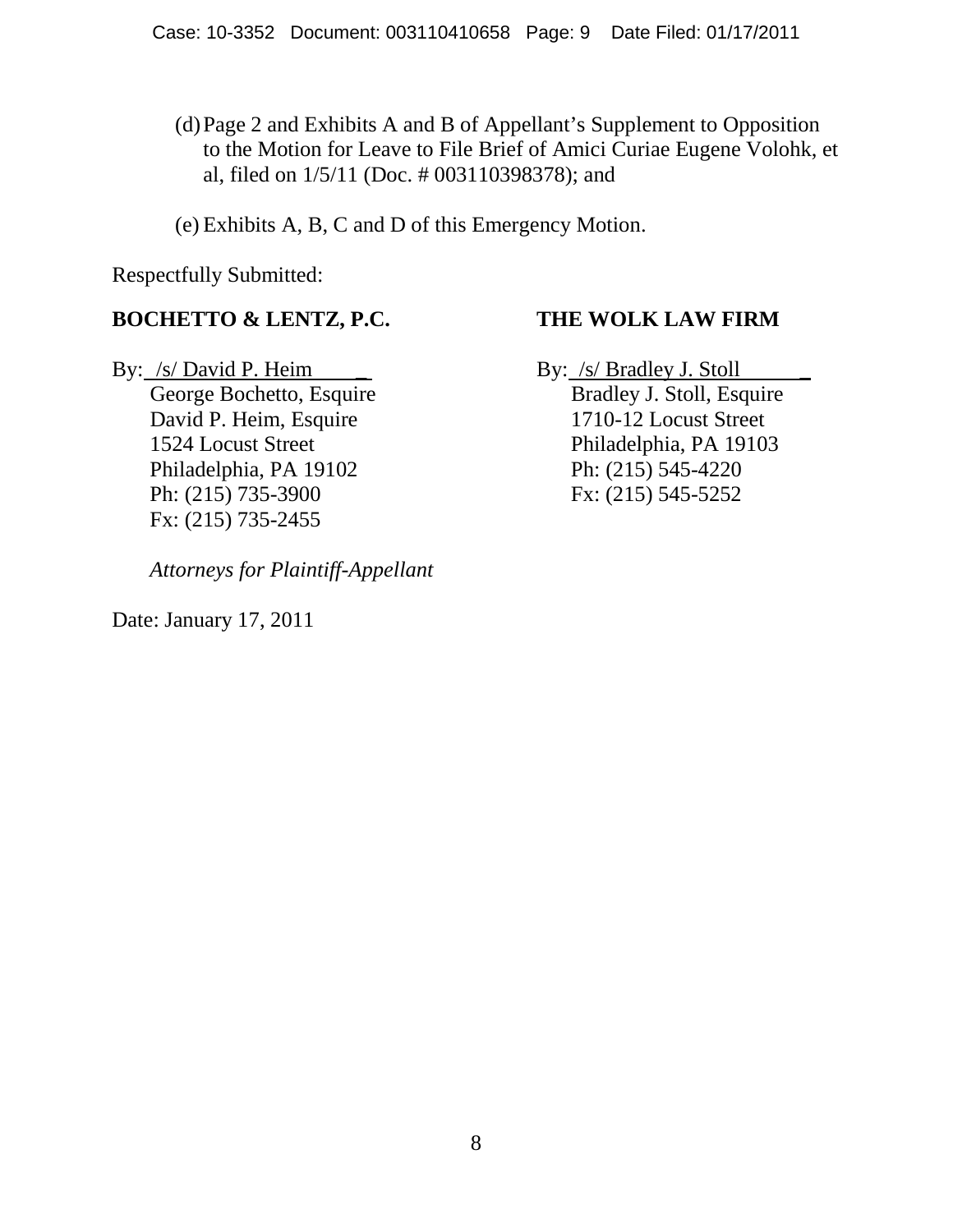#### (d)Page 2 and Exhibits A and B of Appellant's Supplement to Opposition to the Motion for Leave to File Brief of Amici Curiae Eugene Volohk, et al, filed on 1/5/11 (Doc. # 003110398378); and

(e) Exhibits A, B, C and D of this Emergency Motion.

Respectfully Submitted:

### **BOCHETTO & LENTZ, P.C. THE WOLK LAW FIRM**

By: /s/ David P. Heim \_ By: /s/ Bradley J. Stoll

David P. Heim, Esquire 1710-12 Locust Street Philadelphia, PA 19102 Ph: (215) 545-4220 Ph: (215) 735-3900 Fx: (215) 545-5252 Fx: (215) 735-2455

*Attorneys for Plaintiff-Appellant*

Date: January 17, 2011

George Bochetto, Esquire Bradley J. Stoll, Esquire 1524 Locust Street Philadelphia, PA 19103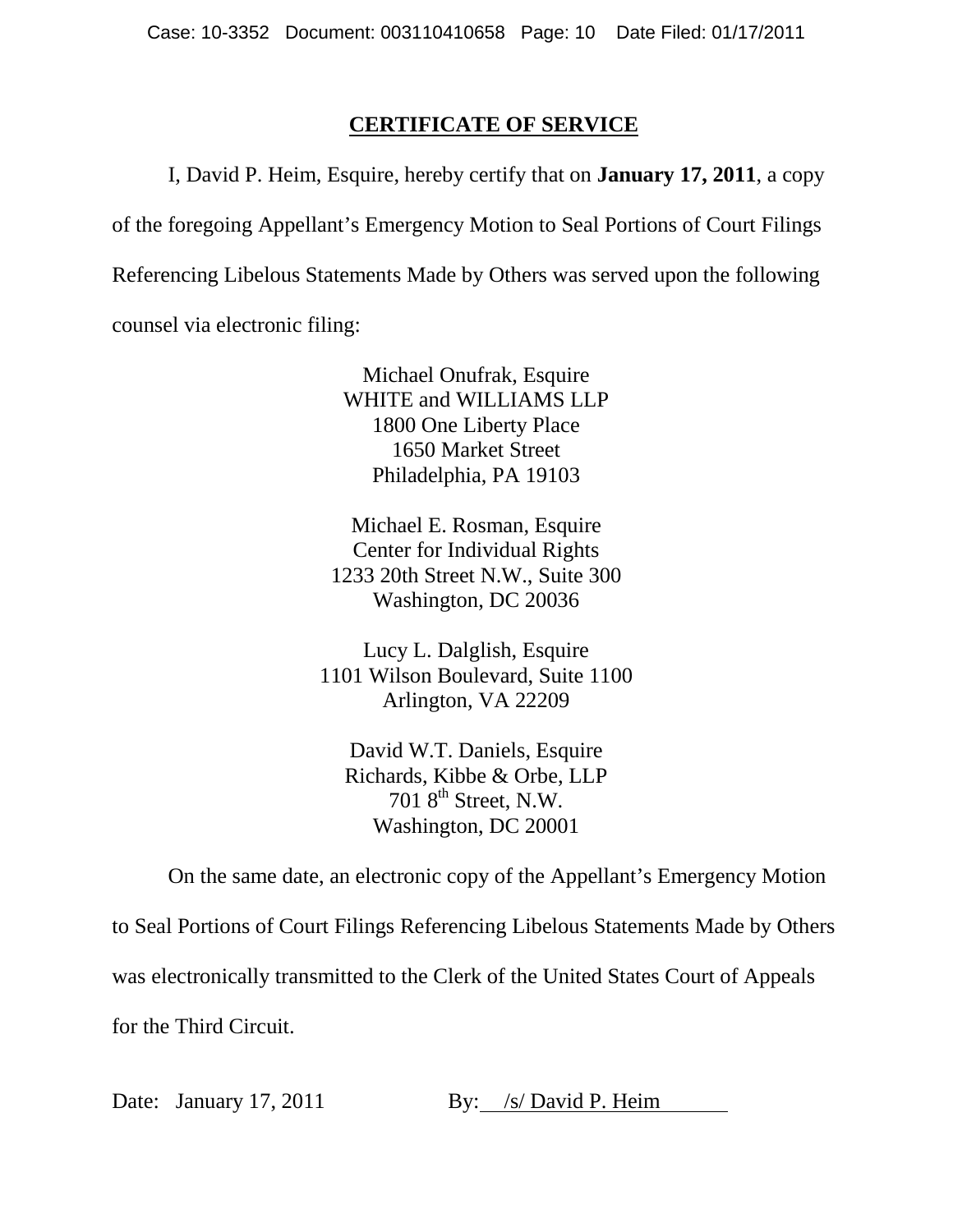#### **CERTIFICATE OF SERVICE**

I, David P. Heim, Esquire, hereby certify that on **January 17, 2011**, a copy of the foregoing Appellant's Emergency Motion to Seal Portions of Court Filings Referencing Libelous Statements Made by Others was served upon the following counsel via electronic filing:

> Michael Onufrak, Esquire WHITE and WILLIAMS LLP 1800 One Liberty Place 1650 Market Street Philadelphia, PA 19103

Michael E. Rosman, Esquire Center for Individual Rights 1233 20th Street N.W., Suite 300 Washington, DC 20036

Lucy L. Dalglish, Esquire 1101 Wilson Boulevard, Suite 1100 Arlington, VA 22209

David W.T. Daniels, Esquire Richards, Kibbe & Orbe, LLP 701 8<sup>th</sup> Street, N.W. Washington, DC 20001

On the same date, an electronic copy of the Appellant's Emergency Motion

to Seal Portions of Court Filings Referencing Libelous Statements Made by Others

was electronically transmitted to the Clerk of the United States Court of Appeals

for the Third Circuit.

Date: January 17, 2011 By: /s/ David P. Heim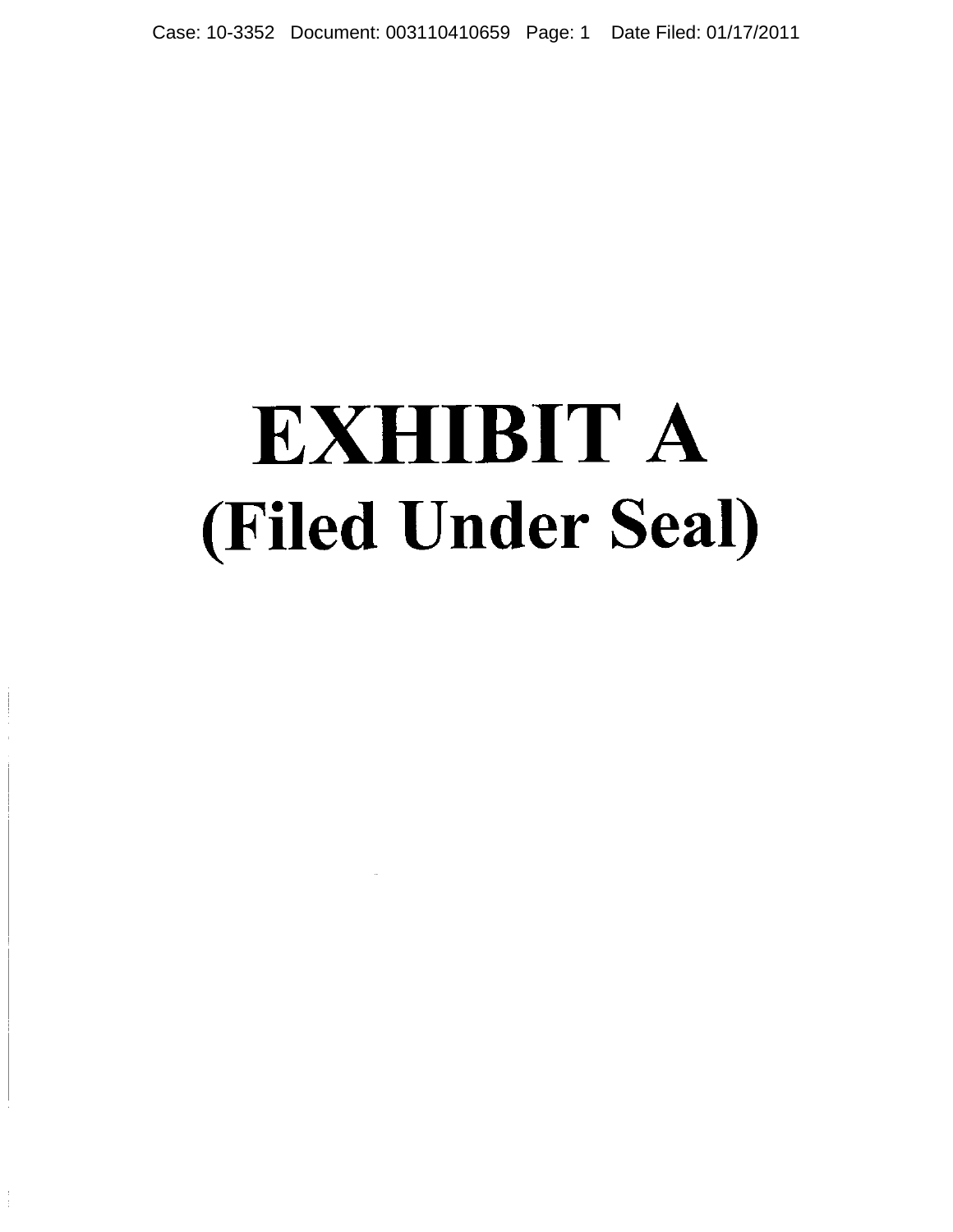Case: 10-3352 Document: 003110410659 Page: 1 Date Filed: 01/17/2011

## **EXHIBIT A** (Filed Under Seal)

 $\frac{1}{4}$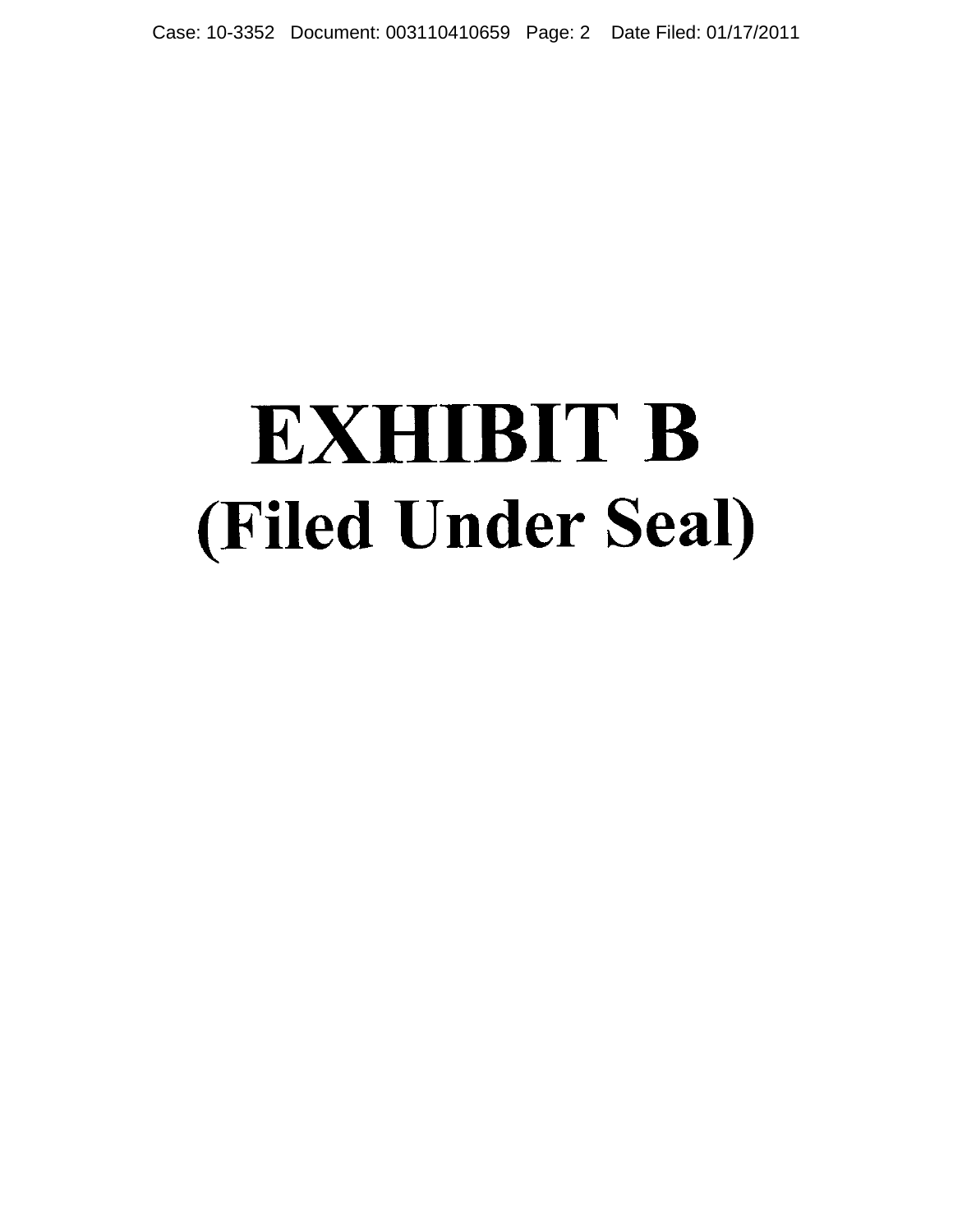Case: 10-3352 Document: 003110410659 Page: 2 Date Filed: 01/17/2011

## **EXHIBIT B** (Filed Under Seal)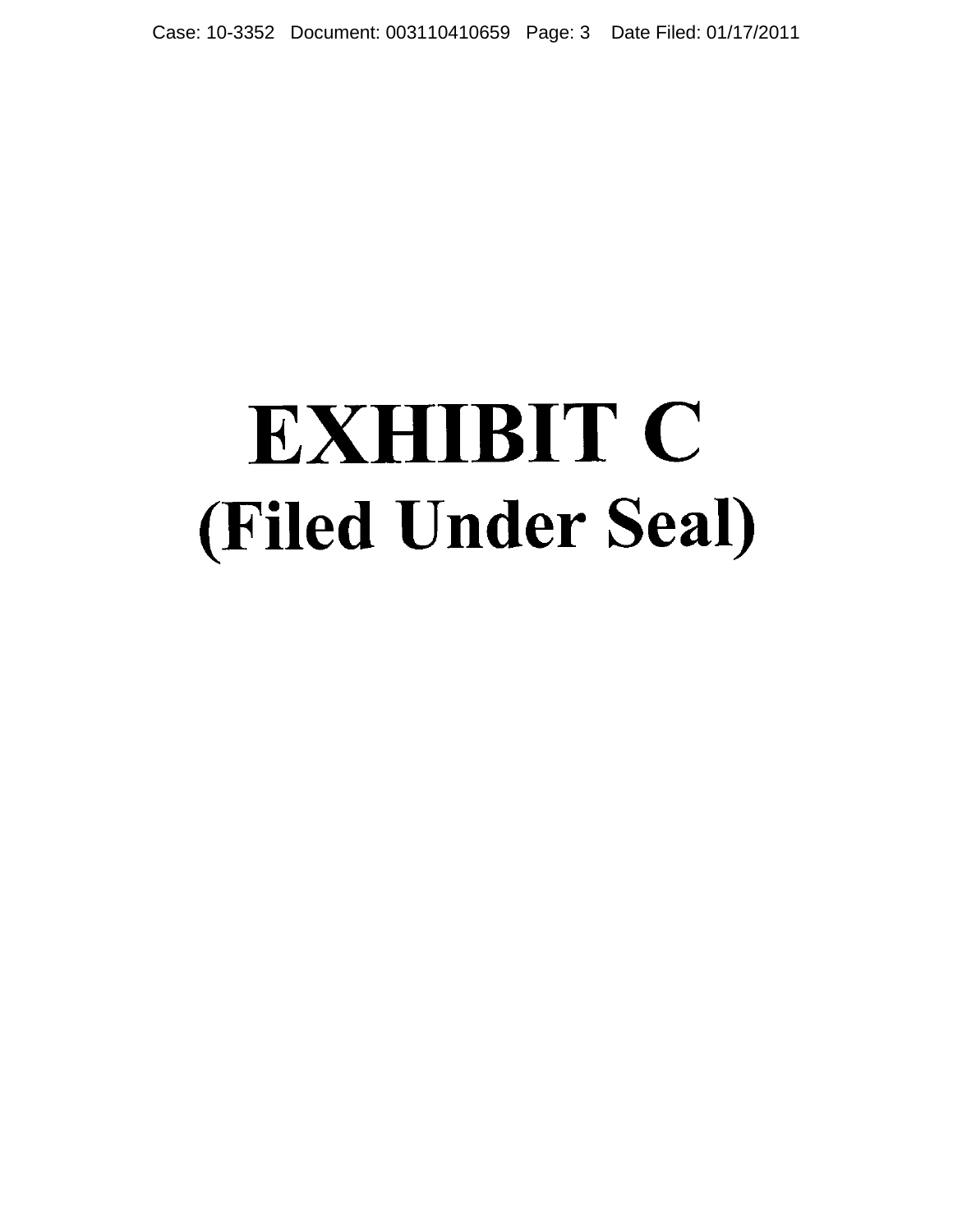Case: 10-3352 Document: 003110410659 Page: 3 Date Filed: 01/17/2011

## **EXHIBIT C (Filed Under Seal)**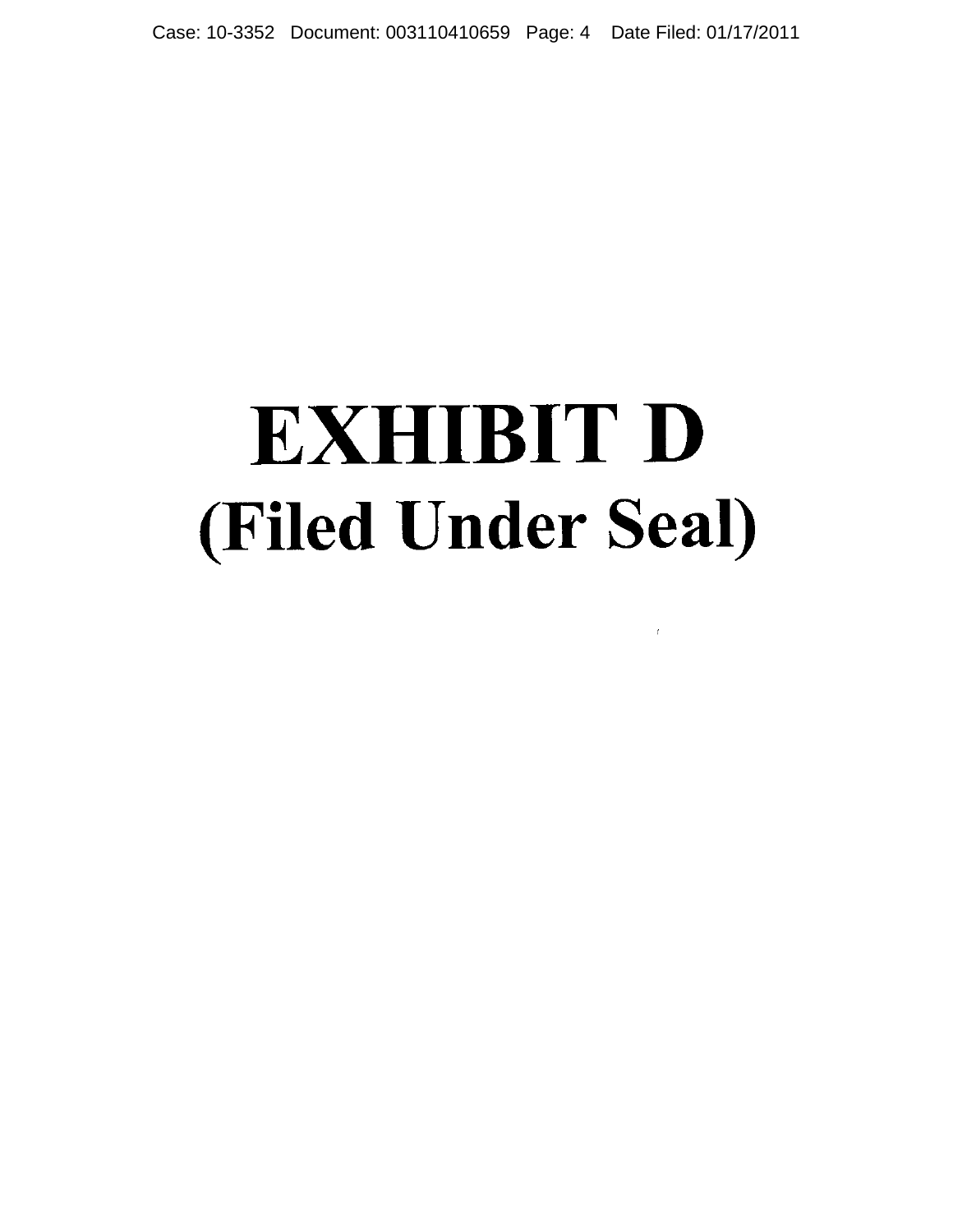Case: 10-3352 Document: 003110410659 Page: 4 Date Filed: 01/17/2011

# **EXHIBIT D** (Filed Under Seal)

 $\bar{t}$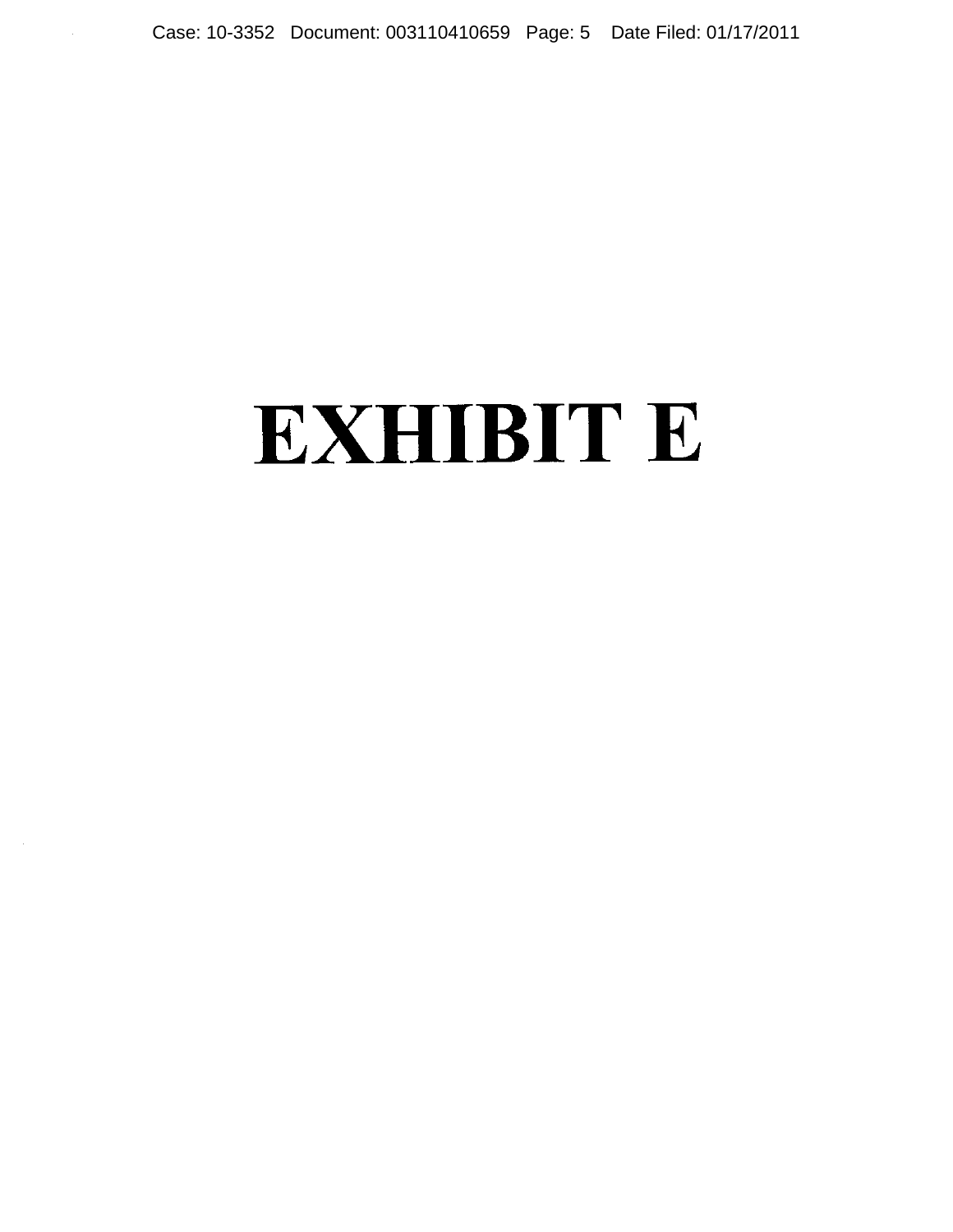### **EXHIBIT E**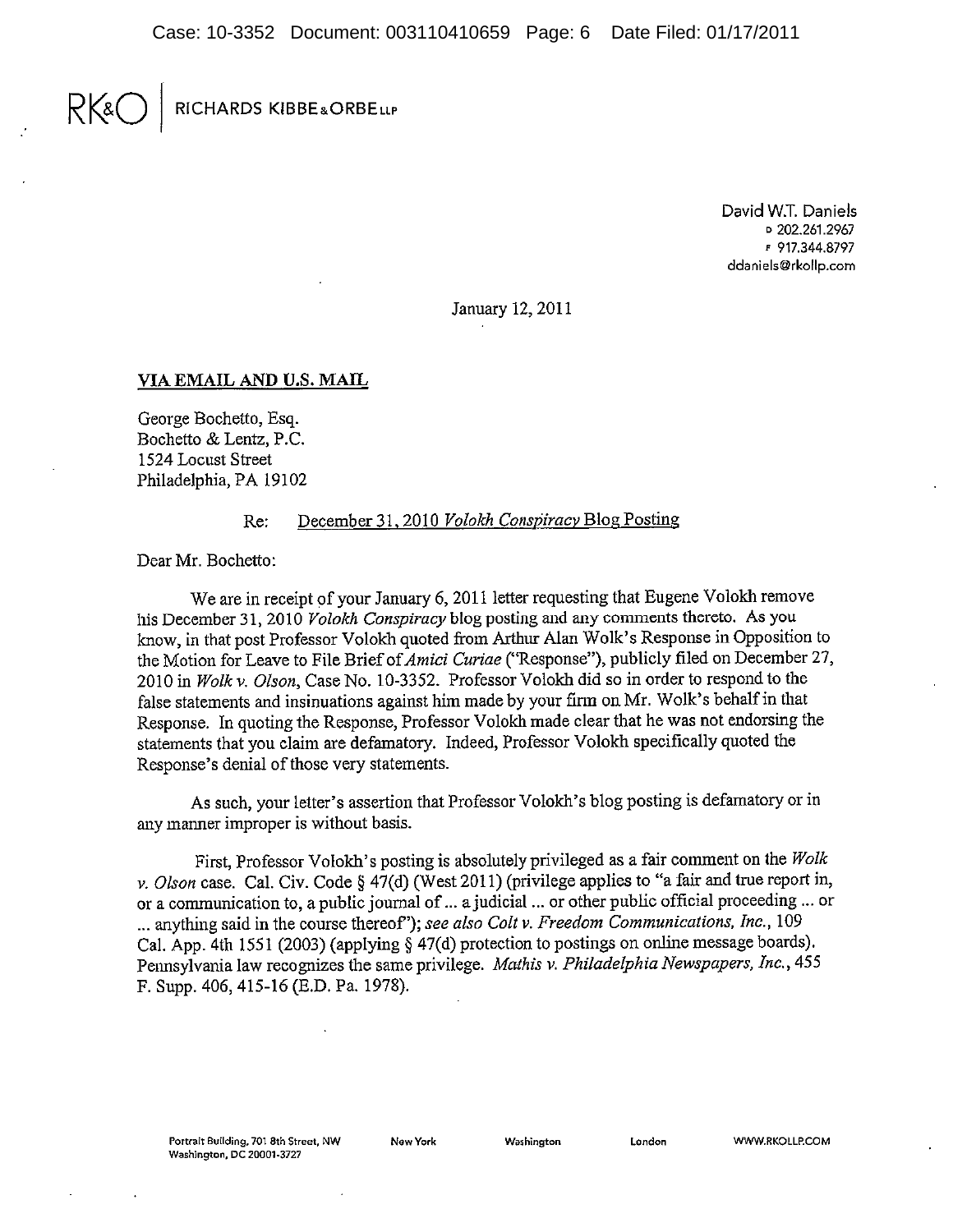#### $RK$ RICHARDS KIBBE&ORBELLP

David W.T. Daniels □ 202.261.2967 F 917.344.8797 ddaniels@rkollp.com

January 12, 2011

#### VIA EMAIL AND U.S. MAIL

George Bochetto, Esq. Bochetto & Lentz, P.C. 1524 Locust Street Philadelphia, PA 19102

#### December 31, 2010 Volokh Conspiracy Blog Posting  $Re:$

Dear Mr. Bochetto:

We are in receipt of your January 6, 2011 letter requesting that Eugene Volokh remove his December 31, 2010 Volokh Conspiracy blog posting and any comments thereto. As you know, in that post Professor Volokh quoted from Arthur Alan Wolk's Response in Opposition to the Motion for Leave to File Brief of *Amici Curiae* ("Response"), publicly filed on December 27, 2010 in Wolk v. Olson, Case No. 10-3352. Professor Volokh did so in order to respond to the false statements and insinuations against him made by your firm on Mr. Wolk's behalf in that Response. In quoting the Response, Professor Volokh made clear that he was not endorsing the statements that you claim are defamatory. Indeed, Professor Volokh specifically quoted the Response's denial of those very statements.

As such, your letter's assertion that Professor Volokh's blog posting is defamatory or in any manner improper is without basis.

First. Professor Volokh's posting is absolutely privileged as a fair comment on the Wolk v. Olson case. Cal. Civ. Code § 47(d) (West 2011) (privilege applies to "a fair and true report in, or a communication to, a public journal of ... a judicial ... or other public official proceeding ... or ... anything said in the course thereof"); see also Colt v. Freedom Communications, Inc., 109 Cal. App. 4th 1551 (2003) (applying § 47(d) protection to postings on online message boards). Pennsylvania law recognizes the same privilege. Mathis v. Philadelphia Newspapers, Inc., 455 F. Supp. 406, 415-16 (E.D. Pa. 1978).

New York